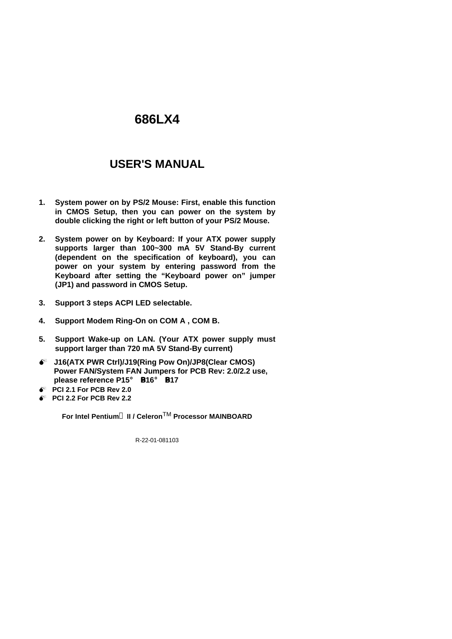# **USER'S MANUAL**

- **1. System power on by PS/2 Mouse: First, enable this function in CMOS Setup, then you can power on the system by double clicking the right or left button of your PS/2 Mouse.**
- **2. System power on by Keyboard: If your ATX power supply supports larger than 100~300 mA 5V Stand-By current (dependent on the specification of keyboard), you can power on your system by entering password from the Keyboard after setting the "Keyboard power on" jumper (JP1) and password in CMOS Setup.**
- **3. Support 3 steps ACPI LED selectable.**
- **4. Support Modem Ring-On on COM A , COM B.**
- **5. Support Wake-up on LAN. (Your ATX power supply must support larger than 720 mA 5V Stand-By current)**
- $\bullet^*$  J16(ATX PWR Ctrl)/J19(Ring Pow On)/JP8(Clear CMOS) **Power FAN/System FAN Jumpers for PCB Rev: 2.0/2.2 use, please reference P15**¡ B**P16**¡ B**P17**
- M **PCI 2.1 For PCB Rev 2.0**
- M **PCI 2.2 For PCB Rev 2.2**

**For Intel Pentiumâ II / Celeron**TM **Processor MAINBOARD**

R-22-01-081103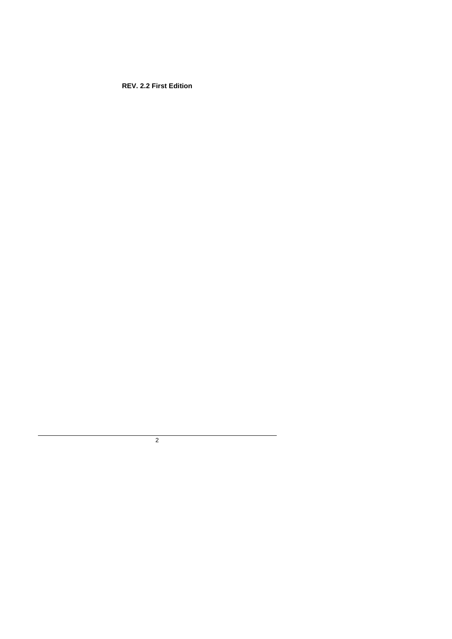**REV. 2.2 First Edition**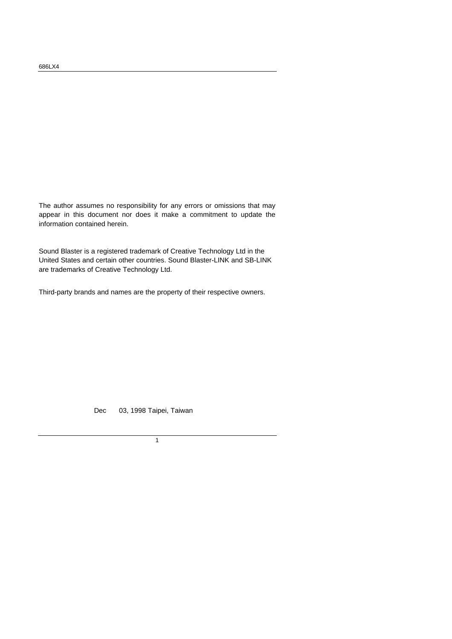The author assumes no responsibility for any errors or omissions that may appear in this document nor does it make a commitment to update the information contained herein.

Sound Blaster is a registered trademark of Creative Technology Ltd in the United States and certain other countries. Sound Blaster-LINK and SB-LINK are trademarks of Creative Technology Ltd.

Third-party brands and names are the property of their respective owners.

Dec 03, 1998 Taipei, Taiwan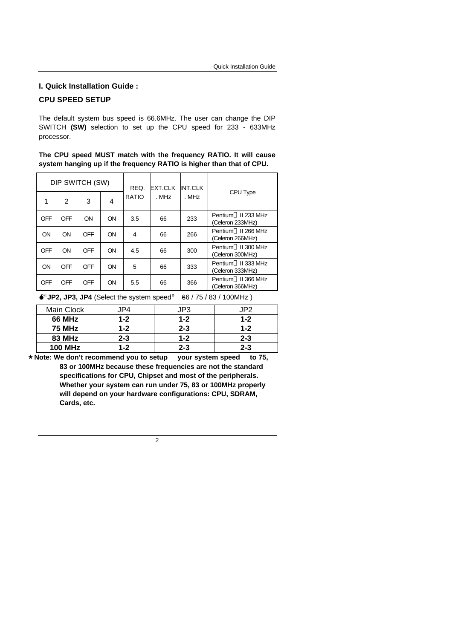#### **I. Quick Installation Guide :**

### **CPU SPEED SETUP**

The default system bus speed is 66.6MHz. The user can change the DIP SWITCH **(SW)** selection to set up the CPU speed for 233 - 633MHz processor.

|  |  |  | The CPU speed MUST match with the frequency RATIO. It will cause     |  |  |
|--|--|--|----------------------------------------------------------------------|--|--|
|  |  |  | system hanging up if the frequency RATIO is higher than that of CPU. |  |  |

| DIP SWITCH (SW) |            |            | REQ. | <b>EXT.CLK</b> | INT.CLK |       |                                                     |
|-----------------|------------|------------|------|----------------|---------|-------|-----------------------------------------------------|
| 1               | 2          | 3          | 4    | <b>RATIO</b>   | . MHz   | . MHz | CPU Type                                            |
| <b>OFF</b>      | <b>OFF</b> | ON         | ON   | 3.5            | 66      | 233   | Pentium <sup>®</sup> II 233 MHz<br>(Celeron 233MHz) |
| ON              | ON         | <b>OFF</b> | ON   | 4              | 66      | 266   | Pentium <sup>®</sup> II 266 MHz<br>(Celeron 266MHz) |
| <b>OFF</b>      | ON         | <b>OFF</b> | ON   | 4.5            | 66      | 300   | Pentium <sup>®</sup> II 300 MHz<br>(Celeron 300MHz) |
| ON              | <b>OFF</b> | <b>OFF</b> | ON   | 5              | 66      | 333   | Pentium <sup>®</sup> II 333 MHz<br>(Celeron 333MHz) |
| OFF             | <b>OFF</b> | OFF        | ON   | 5.5            | 66      | 366   | Pentium <sup>®</sup> II 366 MHz<br>(Celeron 366MHz) |

 $\bullet^*$ **JP2, JP3, JP4** (Select the system speed;  $\bullet$ 66 / 75 / 83 / 100MHz)

| Main Clock     | JP4     | JP3     | JP2.    |
|----------------|---------|---------|---------|
| <b>66 MHz</b>  | $1 - 2$ | $1 - 2$ | $1 - 2$ |
| <b>75 MHz</b>  | $1 - 2$ | $2 - 3$ | $1 - 2$ |
| <b>83 MHz</b>  | $2 - 3$ | $1 - 2$ | $2 - 3$ |
| <b>100 MHz</b> | $1 - 2$ | $2 - 3$ | $2 - 3$ |

**´Note: We don't recommend you to setup your system speed to 75, 83 or 100MHz because these frequencies are not the standard specifications for CPU, Chipset and most of the peripherals. Whether your system can run under 75, 83 or 100MHz properly will depend on your hardware configurations: CPU, SDRAM, Cards, etc.**

 $\overline{2}$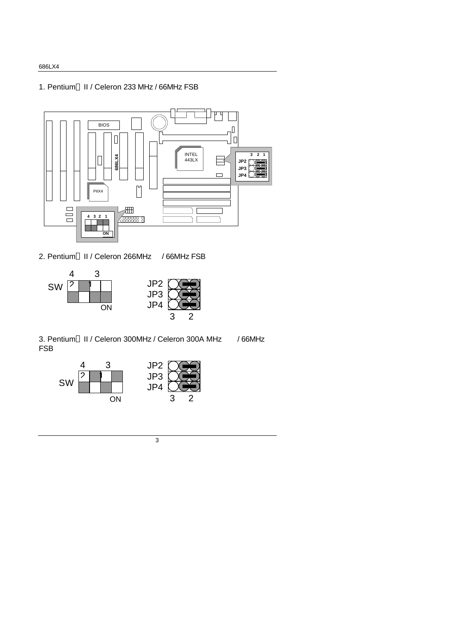1. Pentium® II / Celeron 233 MHz / 66MHz FSB



2. Pentium<sup>®</sup> II / Celeron 266MHz / 66MHz FSB



3. Pentium<sup>®</sup> II / Celeron 300MHz / Celeron 300A MHz / 66MHz FSB



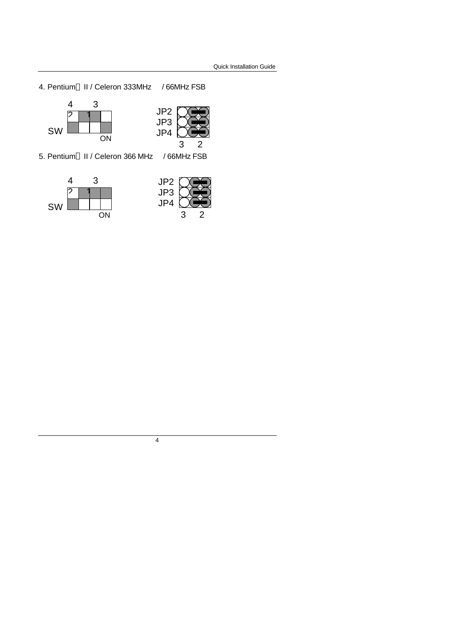4. Pentium<sup>®</sup> II / Celeron 333MHz / 66MHz FSB





5. Pentium<sup>®</sup> II / Celeron 366 MHz / 66MHz FSB



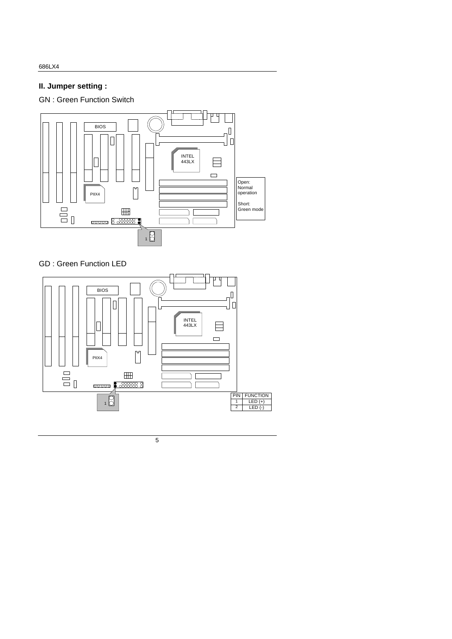# **II. Jumper setting :**

GN : Green Function Switch



## GD : Green Function LED

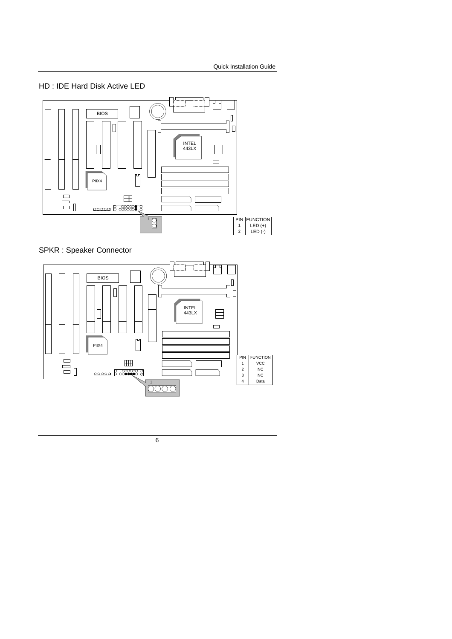



SPKR : Speaker Connector

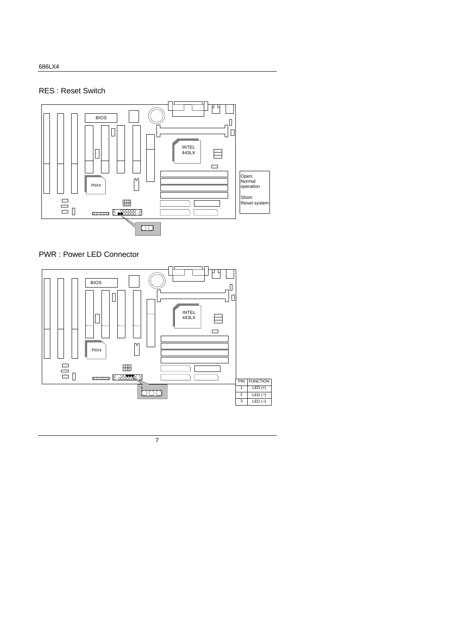### RES : Reset Switch





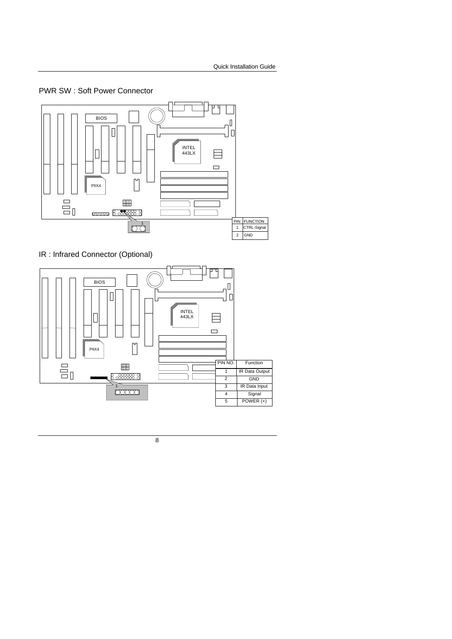#### PWR SW : Soft Power Connector



IR : Infrared Connector (Optional)

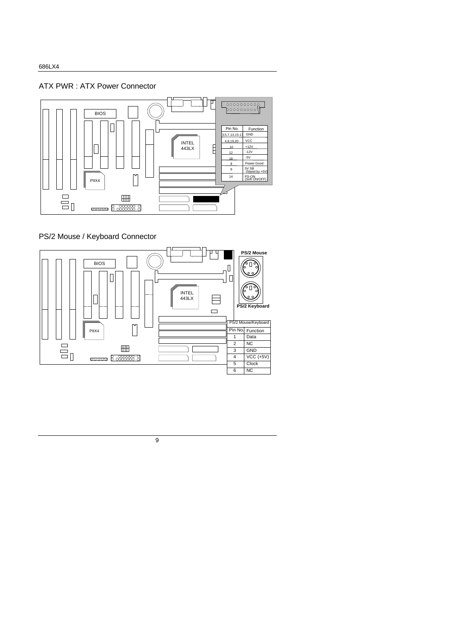ATX PWR : ATX Power Connector



#### PS/2 Mouse / Keyboard Connector

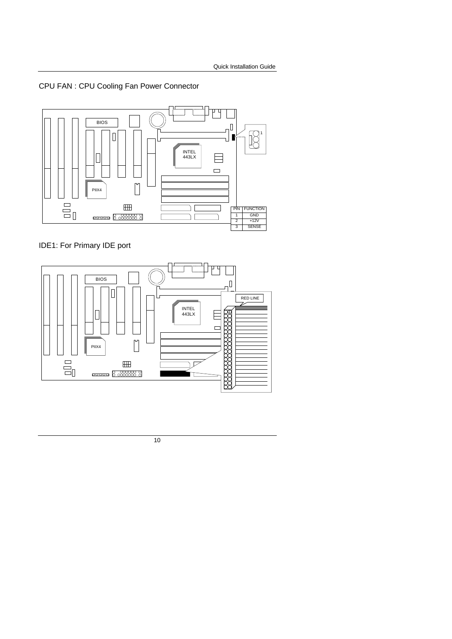CPU FAN : CPU Cooling Fan Power Connector



IDE1: For Primary IDE port

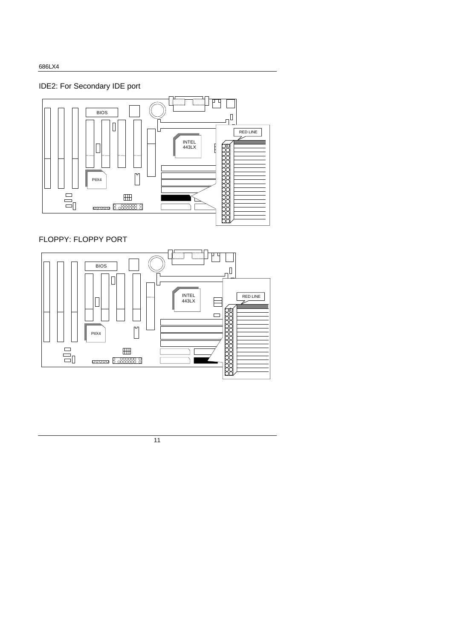IDE2: For Secondary IDE port



## FLOPPY: FLOPPY PORT

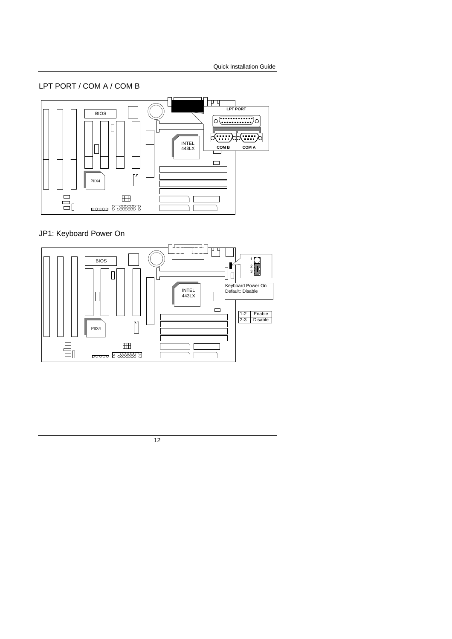### LPT PORT / COM A / COM B



# JP1: Keyboard Power On

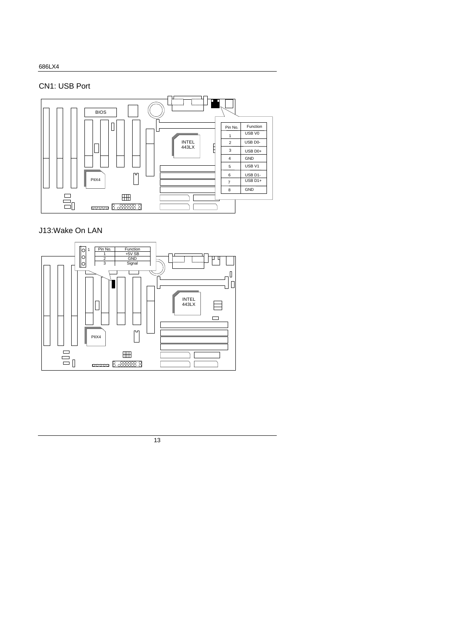### CN1: USB Port



## J13:Wake On LAN

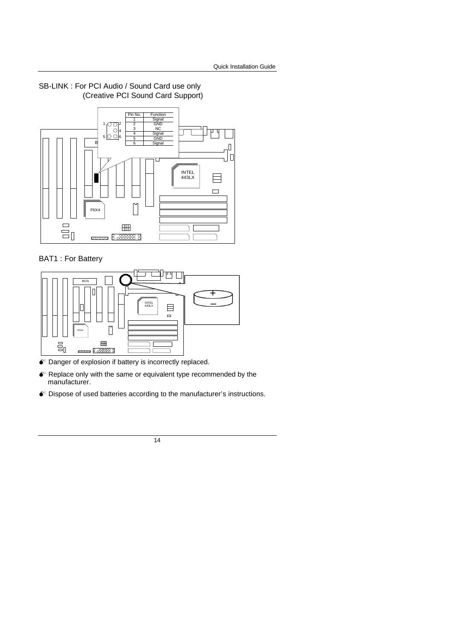

SB-LINK : For PCI Audio / Sound Card use only (Creative PCI Sound Card Support)

#### BAT1 : For Battery



- $\bullet$  Danger of explosion if battery is incorrectly replaced.
- $\bullet$  Replace only with the same or equivalent type recommended by the manufacturer.
- $\bullet$  Dispose of used batteries according to the manufacturer's instructions.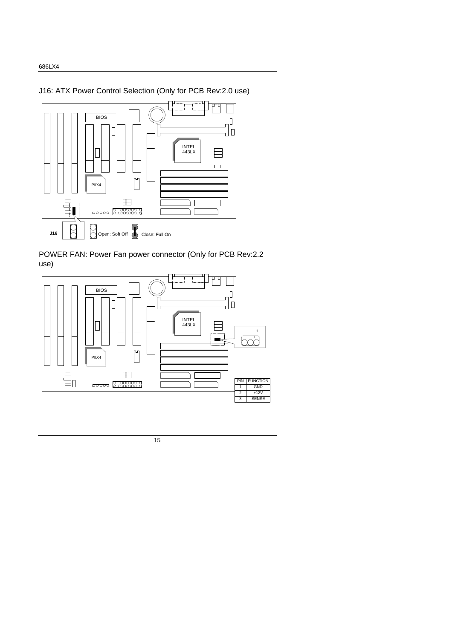J16: ATX Power Control Selection (Only for PCB Rev:2.0 use)



POWER FAN: Power Fan power connector (Only for PCB Rev:2.2 use)

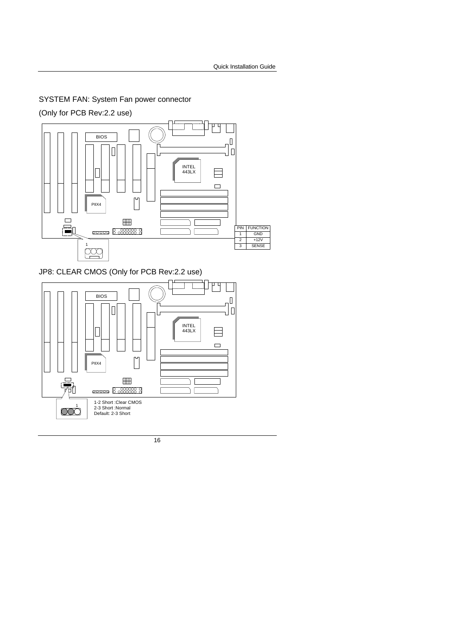SYSTEM FAN: System Fan power connector

(Only for PCB Rev:2.2 use)



JP8: CLEAR CMOS (Only for PCB Rev:2.2 use)

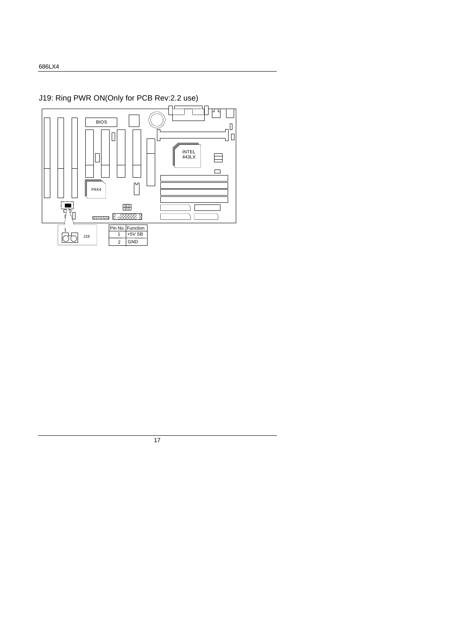# J19: Ring PWR ON(Only for PCB Rev:2.2 use)

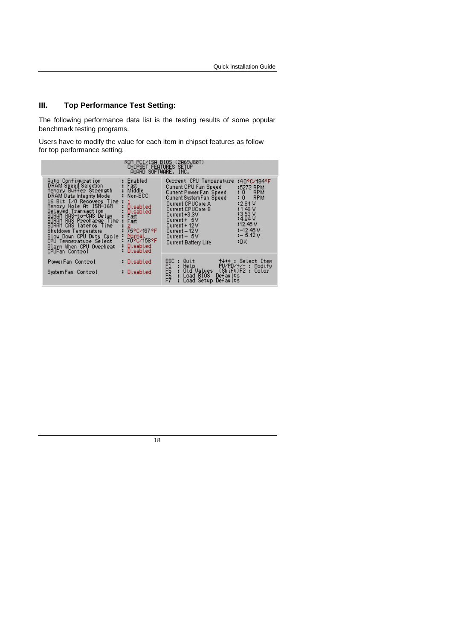# **III. Top Performance Test Setting:**

The following performance data list is the testing results of some popular benchmark testing programs.

Users have to modify the value for each item in chipset features as follow for top performance setting.

| ROM PCI/ISA BIOS (2A69JG0T)<br>CHIPSET FEATURES SETUP<br>AWARD SOFTWARE, INC.                                                                                                                                                                                                                                                                                                            |                                                                                                                                                         |                                                                                                                                                                                                                                                                        |                                                                                                                                           |  |  |  |  |
|------------------------------------------------------------------------------------------------------------------------------------------------------------------------------------------------------------------------------------------------------------------------------------------------------------------------------------------------------------------------------------------|---------------------------------------------------------------------------------------------------------------------------------------------------------|------------------------------------------------------------------------------------------------------------------------------------------------------------------------------------------------------------------------------------------------------------------------|-------------------------------------------------------------------------------------------------------------------------------------------|--|--|--|--|
| Auto Configuration<br>DRAM Speed Selection<br>Memory Buffer Strength<br>DRAM Data Integrity Mode<br>16 Bit I⁄O Recovery Time<br>Memory Hole At 15M-16M<br>Delaved Transaction<br>SDRAM RAS-to-CAS Delay<br>SDRAM RAS Precharge Time<br>SDRAM CAS latency Time<br>Shutdown Temperature<br>Slow Down CPU Duty Cycle<br>CPU Temperature Select<br>Alarm When CPU Overheat<br>CPUFan Control | : Enabled<br>Fast<br>Middle<br>Non-ECC<br>Disabled<br>Disabled<br>Fast<br>Fast<br>2<br>75°C/167°F<br>Normal<br>: 70°C/158°F<br>: Disabled<br>: Disabled | Current CPU Temperature<br>Current CPU Fan Speed<br>Current Power Fan Speed<br>Current SystemFan Speed<br><b>Current CPUCore A</b><br>Current CPUCore B<br>Current +3.3V<br>$Current + 5V$<br>Current + 12V<br>Current – 12 V<br>Current $-5V$<br>Current Battery Life | :40°C/184°F<br>:5273 RPM<br>:0 RPM<br>:0 RPM<br>:2.81 V<br>: 1.48 V<br>:3.53V<br>:4.94V<br>112.46V<br>$1 - 12.46$ V<br>$1 - 5.12V$<br>:OK |  |  |  |  |
| PowerFan Control                                                                                                                                                                                                                                                                                                                                                                         | - Disabled                                                                                                                                              |                                                                                                                                                                                                                                                                        | ↑↓→← : Select Item<br>PU/PD/+/-: Modify                                                                                                   |  |  |  |  |
| System Fan Control                                                                                                                                                                                                                                                                                                                                                                       | - Disabled                                                                                                                                              | ESC : Quit<br>F1 : Help<br>F5 : Old V<br>F5 : Load<br>F7 : Load<br>: Old Values (Shift)F2 : Color<br>: Load BIOS Defaults<br>Load Setup Defaults                                                                                                                       |                                                                                                                                           |  |  |  |  |